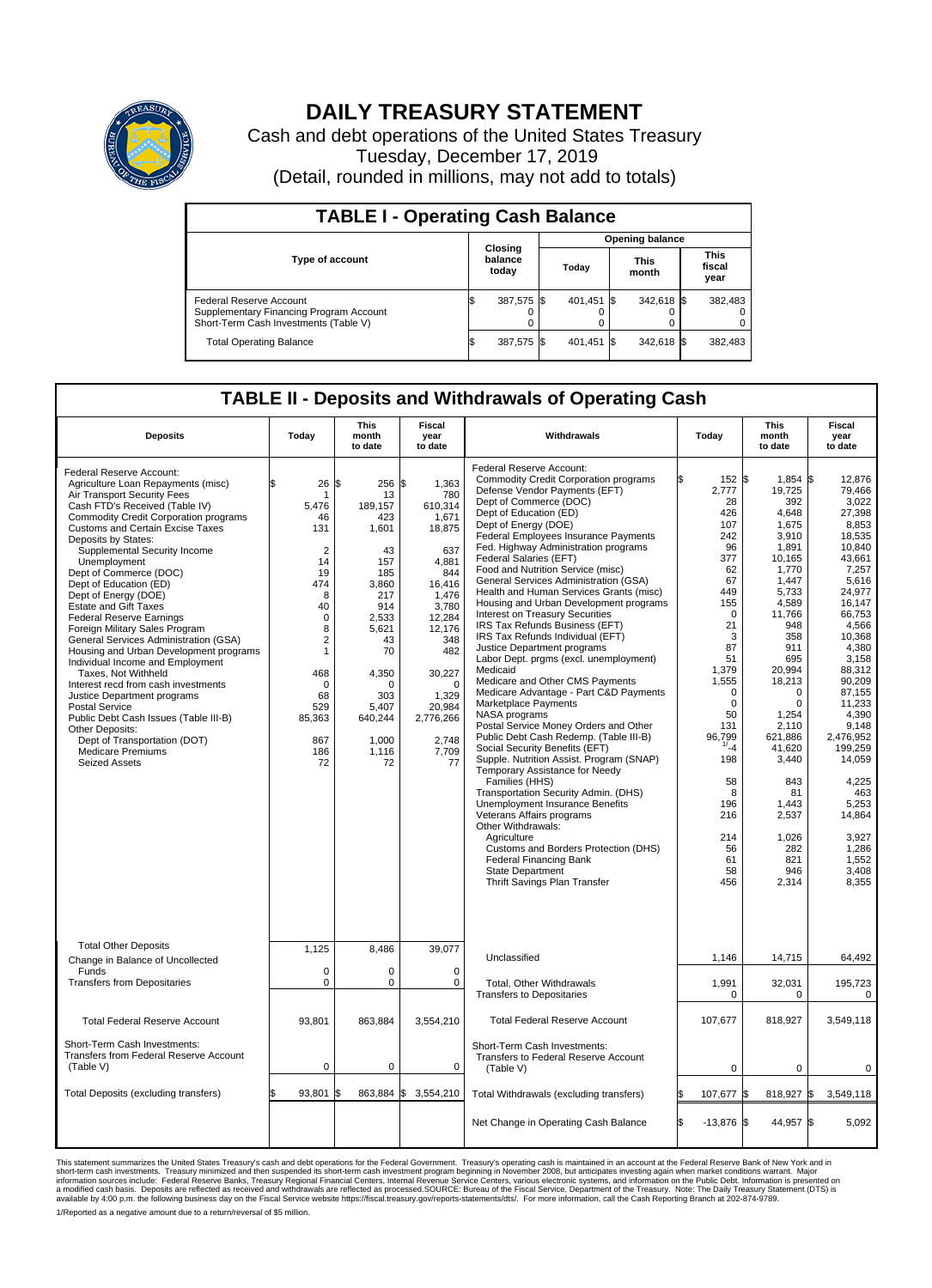

## **DAILY TREASURY STATEMENT**

Cash and debt operations of the United States Treasury Tuesday, December 17, 2019 (Detail, rounded in millions, may not add to totals)

| <b>TABLE I - Operating Cash Balance</b>                                                                     |  |                             |  |                        |  |                      |  |                               |  |  |  |
|-------------------------------------------------------------------------------------------------------------|--|-----------------------------|--|------------------------|--|----------------------|--|-------------------------------|--|--|--|
|                                                                                                             |  | Closing<br>balance<br>today |  | <b>Opening balance</b> |  |                      |  |                               |  |  |  |
| Type of account                                                                                             |  |                             |  | Today                  |  | <b>This</b><br>month |  | <b>This</b><br>fiscal<br>year |  |  |  |
| Federal Reserve Account<br>Supplementary Financing Program Account<br>Short-Term Cash Investments (Table V) |  | 387,575 \$                  |  | 401,451 \$             |  | 342,618 \$           |  | 382,483                       |  |  |  |
| <b>Total Operating Balance</b>                                                                              |  | 387,575 \$                  |  | 401,451 \$             |  | 342,618 \$           |  | 382,483                       |  |  |  |

## **TABLE II - Deposits and Withdrawals of Operating Cash**

| <b>Deposits</b>                                                                                                                                                                                                                                                                                                                                                                                                                                                                                                                                                                                                                                                                                                                                                                                                                                                                 | Today                                                                                                                                                                                                    | <b>This</b><br>month<br>to date                                                                                                                                                                 | Fiscal<br>year<br>to date                                                                                                                                                                                     | Withdrawals                                                                                                                                                                                                                                                                                                                                                                                                                                                                                                                                                                                                                                                                                                                                                                                                                                                                                                                                                                                                                                                                                                                                                                                                                                                                                                | Today                                                                                                                                                                                                                | <b>This</b><br>month<br>to date                                                                                                                                                                                                                                                                                                                                         | Fiscal<br>year<br>to date                                                                                                                                                                                                                                                                                                                   |
|---------------------------------------------------------------------------------------------------------------------------------------------------------------------------------------------------------------------------------------------------------------------------------------------------------------------------------------------------------------------------------------------------------------------------------------------------------------------------------------------------------------------------------------------------------------------------------------------------------------------------------------------------------------------------------------------------------------------------------------------------------------------------------------------------------------------------------------------------------------------------------|----------------------------------------------------------------------------------------------------------------------------------------------------------------------------------------------------------|-------------------------------------------------------------------------------------------------------------------------------------------------------------------------------------------------|---------------------------------------------------------------------------------------------------------------------------------------------------------------------------------------------------------------|------------------------------------------------------------------------------------------------------------------------------------------------------------------------------------------------------------------------------------------------------------------------------------------------------------------------------------------------------------------------------------------------------------------------------------------------------------------------------------------------------------------------------------------------------------------------------------------------------------------------------------------------------------------------------------------------------------------------------------------------------------------------------------------------------------------------------------------------------------------------------------------------------------------------------------------------------------------------------------------------------------------------------------------------------------------------------------------------------------------------------------------------------------------------------------------------------------------------------------------------------------------------------------------------------------|----------------------------------------------------------------------------------------------------------------------------------------------------------------------------------------------------------------------|-------------------------------------------------------------------------------------------------------------------------------------------------------------------------------------------------------------------------------------------------------------------------------------------------------------------------------------------------------------------------|---------------------------------------------------------------------------------------------------------------------------------------------------------------------------------------------------------------------------------------------------------------------------------------------------------------------------------------------|
| Federal Reserve Account:<br>Agriculture Loan Repayments (misc)<br>Air Transport Security Fees<br>Cash FTD's Received (Table IV)<br><b>Commodity Credit Corporation programs</b><br><b>Customs and Certain Excise Taxes</b><br>Deposits by States:<br>Supplemental Security Income<br>Unemployment<br>Dept of Commerce (DOC)<br>Dept of Education (ED)<br>Dept of Energy (DOE)<br><b>Estate and Gift Taxes</b><br><b>Federal Reserve Earnings</b><br>Foreign Military Sales Program<br>General Services Administration (GSA)<br>Housing and Urban Development programs<br>Individual Income and Employment<br>Taxes, Not Withheld<br>Interest recd from cash investments<br>Justice Department programs<br><b>Postal Service</b><br>Public Debt Cash Issues (Table III-B)<br>Other Deposits:<br>Dept of Transportation (DOT)<br><b>Medicare Premiums</b><br><b>Seized Assets</b> | \$<br>26<br>-1<br>5,476<br>46<br>131<br>$\overline{2}$<br>14<br>19<br>474<br>8<br>40<br>$\mathbf 0$<br>8<br>$\overline{2}$<br>$\mathbf{1}$<br>468<br>$\Omega$<br>68<br>529<br>85,363<br>867<br>186<br>72 | l\$<br>256 \$<br>13<br>189,157<br>423<br>1,601<br>43<br>157<br>185<br>3.860<br>217<br>914<br>2,533<br>5.621<br>43<br>70<br>4,350<br>$\Omega$<br>303<br>5.407<br>640,244<br>1,000<br>1,116<br>72 | 1,363<br>780<br>610,314<br>1,671<br>18,875<br>637<br>4,881<br>844<br>16.416<br>1,476<br>3,780<br>12,284<br>12,176<br>348<br>482<br>30,227<br>$\Omega$<br>1,329<br>20,984<br>2,776,266<br>2,748<br>7,709<br>77 | Federal Reserve Account:<br><b>Commodity Credit Corporation programs</b><br>Defense Vendor Payments (EFT)<br>Dept of Commerce (DOC)<br>Dept of Education (ED)<br>Dept of Energy (DOE)<br><b>Federal Employees Insurance Payments</b><br>Fed. Highway Administration programs<br>Federal Salaries (EFT)<br>Food and Nutrition Service (misc)<br>General Services Administration (GSA)<br>Health and Human Services Grants (misc)<br>Housing and Urban Development programs<br>Interest on Treasury Securities<br>IRS Tax Refunds Business (EFT)<br>IRS Tax Refunds Individual (EFT)<br>Justice Department programs<br>Labor Dept. prgms (excl. unemployment)<br>Medicaid<br>Medicare and Other CMS Payments<br>Medicare Advantage - Part C&D Payments<br>Marketplace Payments<br>NASA programs<br>Postal Service Money Orders and Other<br>Public Debt Cash Redemp. (Table III-B)<br>Social Security Benefits (EFT)<br>Supple. Nutrition Assist. Program (SNAP)<br>Temporary Assistance for Needy<br>Families (HHS)<br>Transportation Security Admin. (DHS)<br><b>Unemployment Insurance Benefits</b><br>Veterans Affairs programs<br>Other Withdrawals:<br>Agriculture<br>Customs and Borders Protection (DHS)<br><b>Federal Financing Bank</b><br><b>State Department</b><br>Thrift Savings Plan Transfer | 2,777<br>28<br>426<br>107<br>242<br>96<br>377<br>62<br>67<br>449<br>155<br>$\mathbf 0$<br>21<br>87<br>51<br>1,379<br>1,555<br>50<br>131<br>96,799<br>1/24<br>198<br>58<br>196<br>216<br>214<br>56<br>61<br>58<br>456 | $1,854$ \$<br>152 \$<br>19,725<br>392<br>4,648<br>1,675<br>3,910<br>1,891<br>10.165<br>1,770<br>1,447<br>5.733<br>4,589<br>11,766<br>948<br>3<br>358<br>911<br>695<br>20,994<br>18,213<br>$\mathbf 0$<br>$\Omega$<br>$\mathbf 0$<br>$\Omega$<br>1,254<br>2.110<br>621,886<br>41.620<br>3,440<br>843<br>8<br>81<br>1,443<br>2,537<br>1,026<br>282<br>821<br>946<br>2,314 | 12,876<br>79,466<br>3.022<br>27,398<br>8,853<br>18,535<br>10,840<br>43.661<br>7,257<br>5,616<br>24.977<br>16.147<br>66,753<br>4,566<br>10.368<br>4,380<br>3,158<br>88,312<br>90.209<br>87.155<br>11,233<br>4,390<br>9.148<br>2,476,952<br>199.259<br>14,059<br>4,225<br>463<br>5,253<br>14,864<br>3,927<br>1,286<br>1,552<br>3,408<br>8,355 |
| <b>Total Other Deposits</b><br>Change in Balance of Uncollected                                                                                                                                                                                                                                                                                                                                                                                                                                                                                                                                                                                                                                                                                                                                                                                                                 | 1,125                                                                                                                                                                                                    | 8,486                                                                                                                                                                                           | 39,077                                                                                                                                                                                                        | Unclassified                                                                                                                                                                                                                                                                                                                                                                                                                                                                                                                                                                                                                                                                                                                                                                                                                                                                                                                                                                                                                                                                                                                                                                                                                                                                                               | 1,146                                                                                                                                                                                                                | 14,715                                                                                                                                                                                                                                                                                                                                                                  | 64,492                                                                                                                                                                                                                                                                                                                                      |
| Funds<br><b>Transfers from Depositaries</b>                                                                                                                                                                                                                                                                                                                                                                                                                                                                                                                                                                                                                                                                                                                                                                                                                                     | $\mathbf 0$<br>$\mathbf 0$                                                                                                                                                                               | $\mathbf 0$<br>0                                                                                                                                                                                | $\mathbf 0$<br>$\mathbf 0$                                                                                                                                                                                    | Total, Other Withdrawals<br><b>Transfers to Depositaries</b>                                                                                                                                                                                                                                                                                                                                                                                                                                                                                                                                                                                                                                                                                                                                                                                                                                                                                                                                                                                                                                                                                                                                                                                                                                               | 1,991                                                                                                                                                                                                                | 32,031<br>$\pmb{0}$<br>0                                                                                                                                                                                                                                                                                                                                                | 195,723<br>0                                                                                                                                                                                                                                                                                                                                |
| <b>Total Federal Reserve Account</b>                                                                                                                                                                                                                                                                                                                                                                                                                                                                                                                                                                                                                                                                                                                                                                                                                                            | 93,801                                                                                                                                                                                                   | 863,884                                                                                                                                                                                         | 3,554,210                                                                                                                                                                                                     | <b>Total Federal Reserve Account</b>                                                                                                                                                                                                                                                                                                                                                                                                                                                                                                                                                                                                                                                                                                                                                                                                                                                                                                                                                                                                                                                                                                                                                                                                                                                                       | 107.677                                                                                                                                                                                                              | 818.927                                                                                                                                                                                                                                                                                                                                                                 | 3.549.118                                                                                                                                                                                                                                                                                                                                   |
| Short-Term Cash Investments:<br>Transfers from Federal Reserve Account<br>(Table V)                                                                                                                                                                                                                                                                                                                                                                                                                                                                                                                                                                                                                                                                                                                                                                                             | $\pmb{0}$                                                                                                                                                                                                | 0                                                                                                                                                                                               | 0                                                                                                                                                                                                             | Short-Term Cash Investments:<br>Transfers to Federal Reserve Account<br>(Table V)                                                                                                                                                                                                                                                                                                                                                                                                                                                                                                                                                                                                                                                                                                                                                                                                                                                                                                                                                                                                                                                                                                                                                                                                                          |                                                                                                                                                                                                                      | $\pmb{0}$<br>0                                                                                                                                                                                                                                                                                                                                                          | 0                                                                                                                                                                                                                                                                                                                                           |
| Total Deposits (excluding transfers)                                                                                                                                                                                                                                                                                                                                                                                                                                                                                                                                                                                                                                                                                                                                                                                                                                            | 93,801                                                                                                                                                                                                   | \$<br>863,884 \$                                                                                                                                                                                | 3,554,210                                                                                                                                                                                                     | Total Withdrawals (excluding transfers)                                                                                                                                                                                                                                                                                                                                                                                                                                                                                                                                                                                                                                                                                                                                                                                                                                                                                                                                                                                                                                                                                                                                                                                                                                                                    | 107,677                                                                                                                                                                                                              | 818,927<br>l\$                                                                                                                                                                                                                                                                                                                                                          | 3,549,118<br>1\$                                                                                                                                                                                                                                                                                                                            |
|                                                                                                                                                                                                                                                                                                                                                                                                                                                                                                                                                                                                                                                                                                                                                                                                                                                                                 |                                                                                                                                                                                                          |                                                                                                                                                                                                 |                                                                                                                                                                                                               | Net Change in Operating Cash Balance                                                                                                                                                                                                                                                                                                                                                                                                                                                                                                                                                                                                                                                                                                                                                                                                                                                                                                                                                                                                                                                                                                                                                                                                                                                                       | l\$<br>$-13,876$ \$                                                                                                                                                                                                  | 44,957 \$                                                                                                                                                                                                                                                                                                                                                               | 5,092                                                                                                                                                                                                                                                                                                                                       |

This statement summarizes the United States Treasury's cash and debt operations for the Federal Government. Treasury soperating in November 2008, but anticiarded in a cocount at the Federal metaform mathemultions warrant.

1/Reported as a negative amount due to a return/reversal of \$5 million.